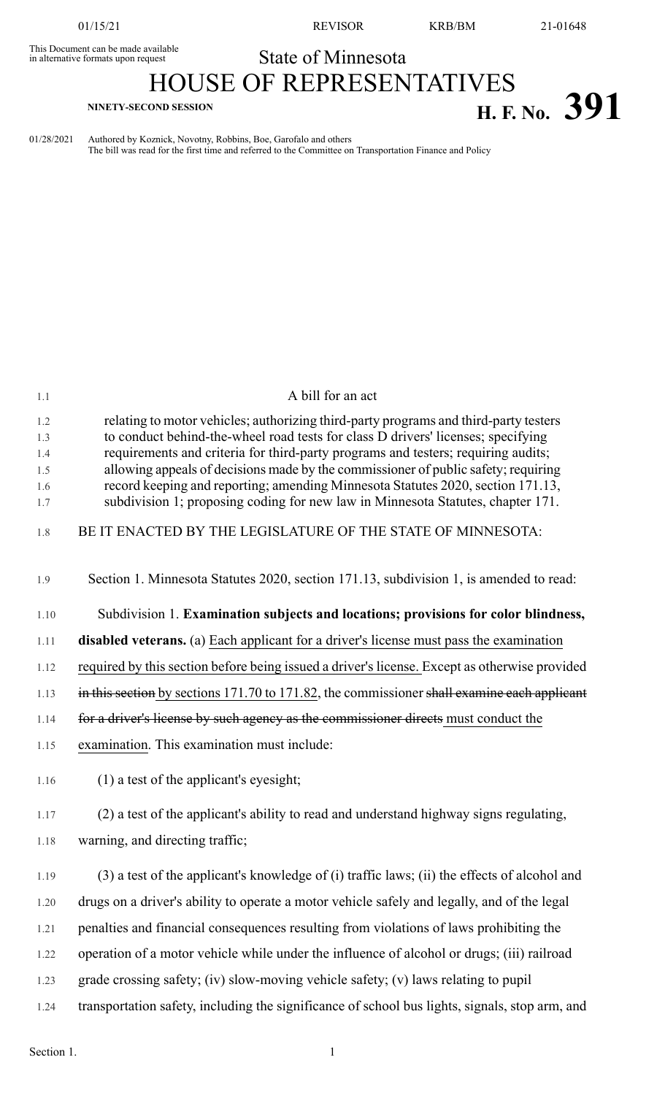This Document can be made available<br>in alternative formats upon request

01/15/21 REVISOR KRB/BM 21-01648

## State of Minnesota

## HOUSE OF REPRESENTATIVES **H. F. No. 391**

01/28/2021 Authored by Koznick, Novotny, Robbins, Boe, Garofalo and others The bill was read for the first time and referred to the Committee on Transportation Finance and Policy

| 1.1               | A bill for an act                                                                                                                                                                                                                                             |
|-------------------|---------------------------------------------------------------------------------------------------------------------------------------------------------------------------------------------------------------------------------------------------------------|
| 1.2<br>1.3<br>1.4 | relating to motor vehicles; authorizing third-party programs and third-party testers<br>to conduct behind-the-wheel road tests for class D drivers' licenses; specifying<br>requirements and criteria for third-party programs and testers; requiring audits; |
| 1.5               | allowing appeals of decisions made by the commissioner of public safety; requiring                                                                                                                                                                            |
| 1.6               | record keeping and reporting; amending Minnesota Statutes 2020, section 171.13,                                                                                                                                                                               |
| 1.7               | subdivision 1; proposing coding for new law in Minnesota Statutes, chapter 171.                                                                                                                                                                               |
| 1.8               | BE IT ENACTED BY THE LEGISLATURE OF THE STATE OF MINNESOTA:                                                                                                                                                                                                   |
| 1.9               | Section 1. Minnesota Statutes 2020, section 171.13, subdivision 1, is amended to read:                                                                                                                                                                        |
| 1.10              | Subdivision 1. Examination subjects and locations; provisions for color blindness,                                                                                                                                                                            |
| 1.11              | <b>disabled veterans.</b> (a) Each applicant for a driver's license must pass the examination                                                                                                                                                                 |
| 1.12              | required by this section before being issued a driver's license. Except as otherwise provided                                                                                                                                                                 |
| 1.13              | in this section by sections 171.70 to 171.82, the commissioner shall examine each applicant                                                                                                                                                                   |
| 1.14              | for a driver's license by such agency as the commissioner directs must conduct the                                                                                                                                                                            |
| 1.15              | examination. This examination must include:                                                                                                                                                                                                                   |
| 1.16              | $(1)$ a test of the applicant's eyesight;                                                                                                                                                                                                                     |
| 1.17              | (2) a test of the applicant's ability to read and understand highway signs regulating,                                                                                                                                                                        |
| 1.18              | warning, and directing traffic;                                                                                                                                                                                                                               |
| 1.19              | (3) a test of the applicant's knowledge of (i) traffic laws; (ii) the effects of alcohol and                                                                                                                                                                  |
| 1.20              | drugs on a driver's ability to operate a motor vehicle safely and legally, and of the legal                                                                                                                                                                   |
| 1.21              | penalties and financial consequences resulting from violations of laws prohibiting the                                                                                                                                                                        |
| 1.22              | operation of a motor vehicle while under the influence of alcohol or drugs; (iii) railroad                                                                                                                                                                    |
| 1.23              | grade crossing safety; (iv) slow-moving vehicle safety; (v) laws relating to pupil                                                                                                                                                                            |
| 1.24              | transportation safety, including the significance of school bus lights, signals, stop arm, and                                                                                                                                                                |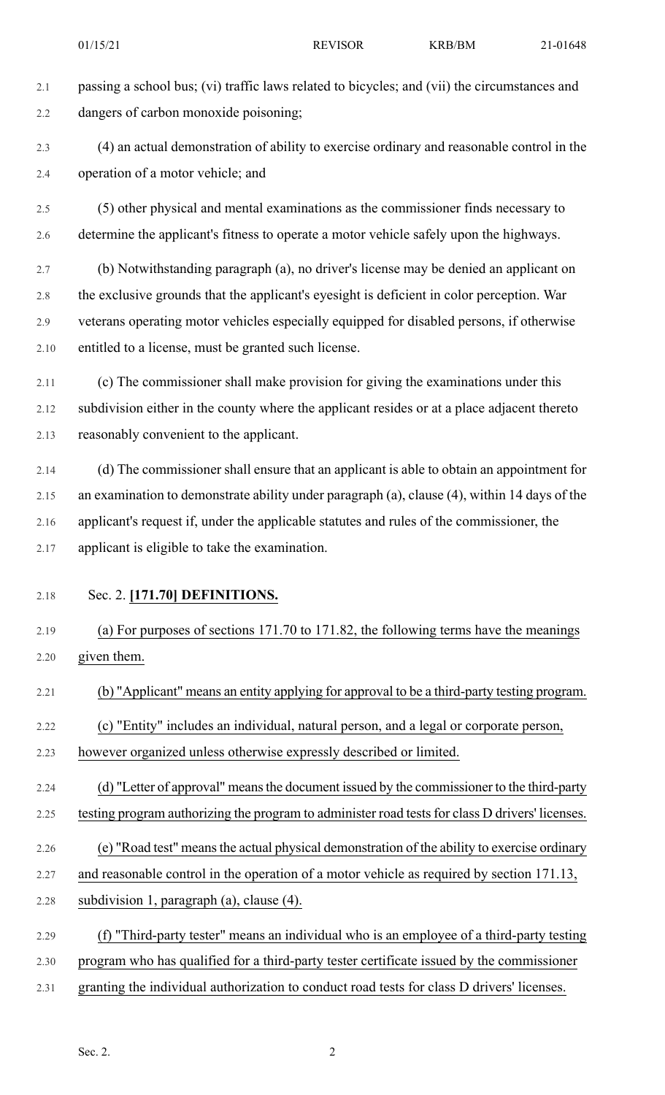2.1 passing a school bus; (vi) traffic laws related to bicycles; and (vii) the circumstances and 2.2 dangers of carbon monoxide poisoning;

2.3 (4) an actual demonstration of ability to exercise ordinary and reasonable control in the 2.4 operation of a motor vehicle; and

2.5 (5) other physical and mental examinations as the commissioner finds necessary to 2.6 determine the applicant's fitness to operate a motor vehicle safely upon the highways.

2.7 (b) Notwithstanding paragraph (a), no driver's license may be denied an applicant on 2.8 the exclusive grounds that the applicant's eyesight is deficient in color perception. War 2.9 veterans operating motor vehicles especially equipped for disabled persons, if otherwise 2.10 entitled to a license, must be granted such license.

2.11 (c) The commissioner shall make provision for giving the examinations under this 2.12 subdivision either in the county where the applicant resides or at a place adjacent thereto 2.13 reasonably convenient to the applicant.

2.14 (d) The commissioner shall ensure that an applicant is able to obtain an appointment for 2.15 an examination to demonstrate ability under paragraph (a), clause (4), within 14 days of the 2.16 applicant's request if, under the applicable statutes and rules of the commissioner, the 2.17 applicant is eligible to take the examination.

## 2.18 Sec. 2. **[171.70] DEFINITIONS.**

2.19 (a) For purposes of sections 171.70 to 171.82, the following terms have the meanings 2.20 given them.

2.21 (b) "Applicant" means an entity applying for approval to be a third-party testing program.

2.22 (c) "Entity" includes an individual, natural person, and a legal or corporate person,

2.23 however organized unless otherwise expressly described or limited.

2.24 (d) "Letter of approval" means the document issued by the commissioner to the third-party

2.25 testing program authorizing the program to administer road tests for class D drivers' licenses.

2.26 (e) "Road test" meansthe actual physical demonstration of the ability to exercise ordinary

- 2.27 and reasonable control in the operation of a motor vehicle as required by section 171.13,
- 2.28 subdivision 1, paragraph (a), clause (4).
- 2.29 (f) "Third-party tester" means an individual who is an employee of a third-party testing
- 2.30 program who has qualified for a third-party tester certificate issued by the commissioner
- 2.31 granting the individual authorization to conduct road tests for class D drivers' licenses.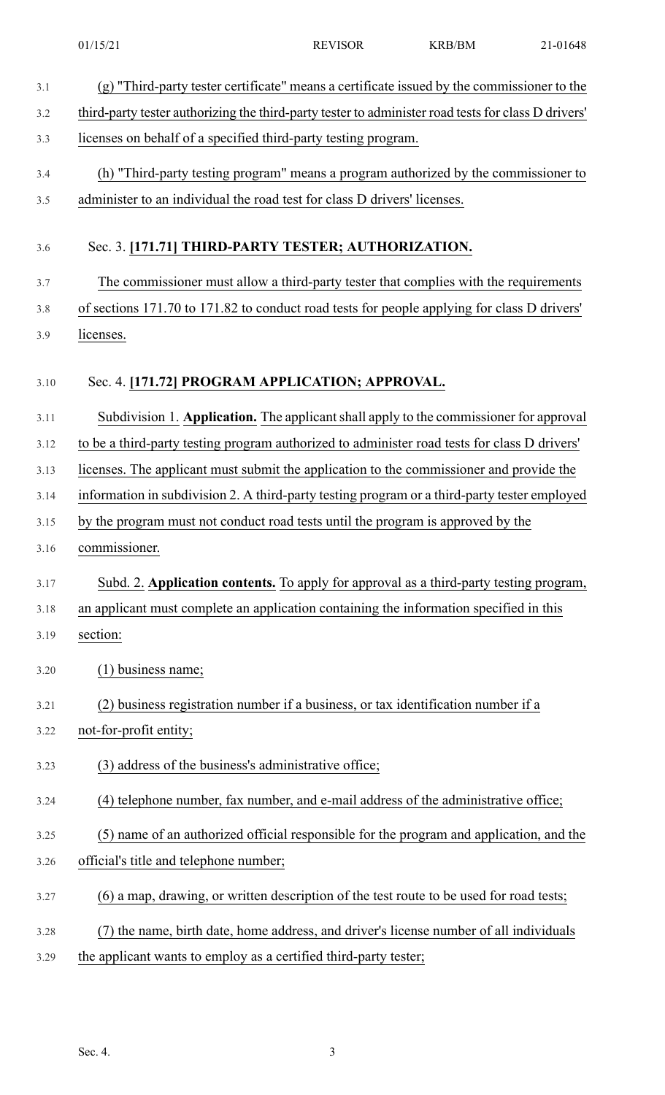| 3.1  | (g) "Third-party tester certificate" means a certificate issued by the commissioner to the          |
|------|-----------------------------------------------------------------------------------------------------|
| 3.2  | third-party tester authorizing the third-party tester to administer road tests for class D drivers' |
| 3.3  | licenses on behalf of a specified third-party testing program.                                      |
| 3.4  | (h) "Third-party testing program" means a program authorized by the commissioner to                 |
| 3.5  | administer to an individual the road test for class D drivers' licenses.                            |
|      |                                                                                                     |
| 3.6  | Sec. 3. [171.71] THIRD-PARTY TESTER; AUTHORIZATION.                                                 |
| 3.7  | The commissioner must allow a third-party tester that complies with the requirements                |
| 3.8  | of sections 171.70 to 171.82 to conduct road tests for people applying for class D drivers'         |
| 3.9  | licenses.                                                                                           |
|      |                                                                                                     |
| 3.10 | Sec. 4. [171.72] PROGRAM APPLICATION; APPROVAL.                                                     |
| 3.11 | Subdivision 1. Application. The applicant shall apply to the commissioner for approval              |
| 3.12 | to be a third-party testing program authorized to administer road tests for class D drivers'        |
| 3.13 | licenses. The applicant must submit the application to the commissioner and provide the             |
| 3.14 | information in subdivision 2. A third-party testing program or a third-party tester employed        |
| 3.15 | by the program must not conduct road tests until the program is approved by the                     |
| 3.16 | commissioner.                                                                                       |
| 3.17 | Subd. 2. Application contents. To apply for approval as a third-party testing program,              |
| 3.18 | an applicant must complete an application containing the information specified in this              |
| 3.19 | section:                                                                                            |
| 3.20 | $(1)$ business name;                                                                                |
| 3.21 | (2) business registration number if a business, or tax identification number if a                   |
| 3.22 | not-for-profit entity;                                                                              |
| 3.23 | (3) address of the business's administrative office;                                                |
| 3.24 | (4) telephone number, fax number, and e-mail address of the administrative office;                  |
| 3.25 | (5) name of an authorized official responsible for the program and application, and the             |
| 3.26 | official's title and telephone number;                                                              |
| 3.27 | (6) a map, drawing, or written description of the test route to be used for road tests;             |
| 3.28 | (7) the name, birth date, home address, and driver's license number of all individuals              |
| 3.29 | the applicant wants to employ as a certified third-party tester;                                    |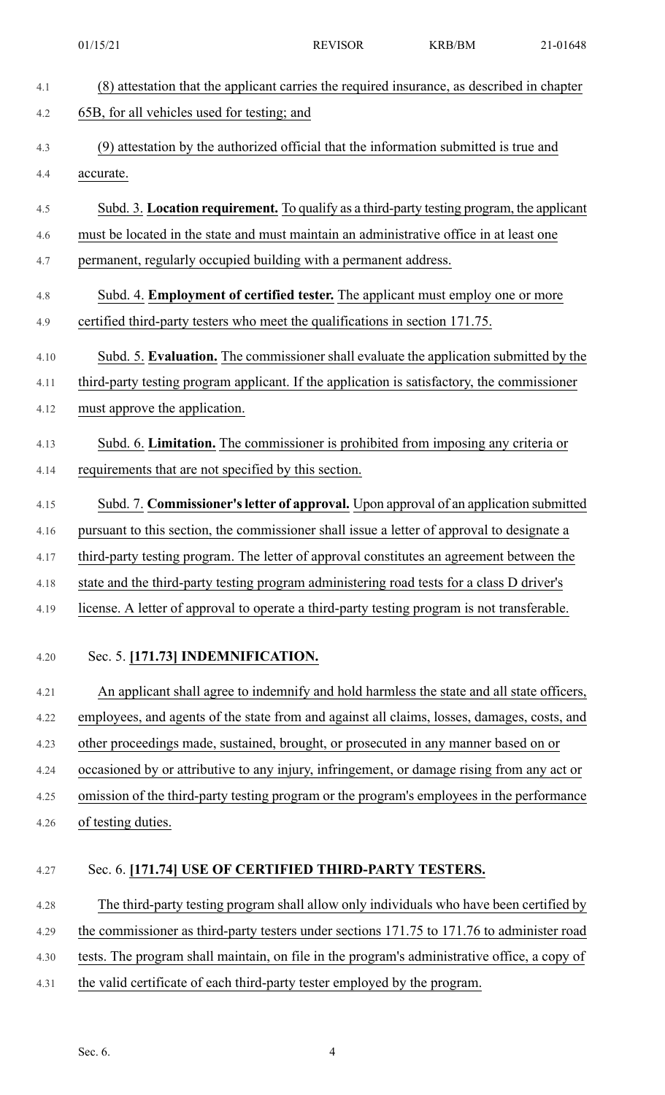|      | 01/15/21                                                                                     | <b>REVISOR</b> | <b>KRB/BM</b> | 21-01648 |
|------|----------------------------------------------------------------------------------------------|----------------|---------------|----------|
| 4.1  | (8) attestation that the applicant carries the required insurance, as described in chapter   |                |               |          |
| 4.2  | 65B, for all vehicles used for testing; and                                                  |                |               |          |
| 4.3  | (9) attestation by the authorized official that the information submitted is true and        |                |               |          |
| 4.4  | accurate.                                                                                    |                |               |          |
| 4.5  | Subd. 3. Location requirement. To qualify as a third-party testing program, the applicant    |                |               |          |
| 4.6  | must be located in the state and must maintain an administrative office in at least one      |                |               |          |
| 4.7  | permanent, regularly occupied building with a permanent address.                             |                |               |          |
| 4.8  | Subd. 4. Employment of certified tester. The applicant must employ one or more               |                |               |          |
| 4.9  | certified third-party testers who meet the qualifications in section 171.75.                 |                |               |          |
| 4.10 | Subd. 5. Evaluation. The commissioner shall evaluate the application submitted by the        |                |               |          |
| 4.11 | third-party testing program applicant. If the application is satisfactory, the commissioner  |                |               |          |
| 4.12 | must approve the application.                                                                |                |               |          |
| 4.13 | Subd. 6. Limitation. The commissioner is prohibited from imposing any criteria or            |                |               |          |
| 4.14 | requirements that are not specified by this section.                                         |                |               |          |
| 4.15 | Subd. 7. Commissioner's letter of approval. Upon approval of an application submitted        |                |               |          |
| 4.16 | pursuant to this section, the commissioner shall issue a letter of approval to designate a   |                |               |          |
| 4.17 | third-party testing program. The letter of approval constitutes an agreement between the     |                |               |          |
| 4.18 | state and the third-party testing program administering road tests for a class D driver's    |                |               |          |
| 4.19 | license. A letter of approval to operate a third-party testing program is not transferable.  |                |               |          |
|      |                                                                                              |                |               |          |
| 4.20 | Sec. 5. [171.73] INDEMNIFICATION.                                                            |                |               |          |
| 4.21 | An applicant shall agree to indemnify and hold harmless the state and all state officers,    |                |               |          |
| 4.22 | employees, and agents of the state from and against all claims, losses, damages, costs, and  |                |               |          |
| 4.23 | other proceedings made, sustained, brought, or prosecuted in any manner based on or          |                |               |          |
| 4.24 | occasioned by or attributive to any injury, infringement, or damage rising from any act or   |                |               |          |
| 4.25 | omission of the third-party testing program or the program's employees in the performance    |                |               |          |
| 4.26 | of testing duties.                                                                           |                |               |          |
| 4.27 | Sec. 6. [171.74] USE OF CERTIFIED THIRD-PARTY TESTERS.                                       |                |               |          |
|      |                                                                                              |                |               |          |
| 4.28 | The third-party testing program shall allow only individuals who have been certified by      |                |               |          |
| 4.29 | the commissioner as third-party testers under sections 171.75 to 171.76 to administer road   |                |               |          |
| 4.30 | tests. The program shall maintain, on file in the program's administrative office, a copy of |                |               |          |
| 4.31 | the valid certificate of each third-party tester employed by the program.                    |                |               |          |
|      |                                                                                              |                |               |          |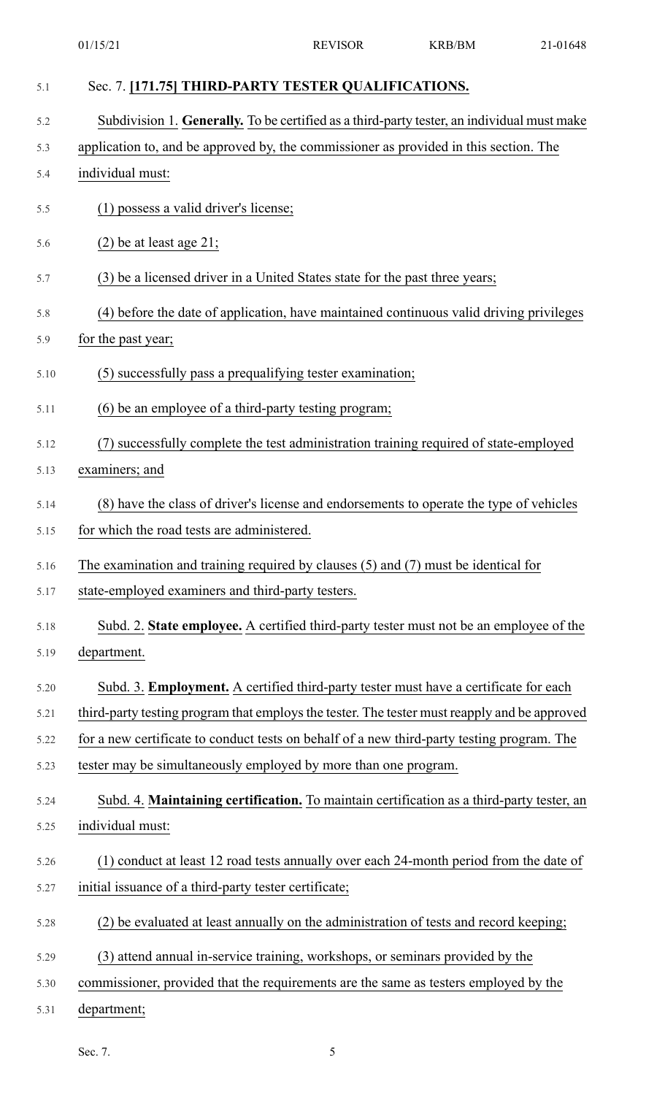| 5.1  | Sec. 7. [171.75] THIRD-PARTY TESTER QUALIFICATIONS.                                          |
|------|----------------------------------------------------------------------------------------------|
| 5.2  | Subdivision 1. Generally. To be certified as a third-party tester, an individual must make   |
| 5.3  | application to, and be approved by, the commissioner as provided in this section. The        |
| 5.4  | individual must:                                                                             |
| 5.5  | (1) possess a valid driver's license;                                                        |
| 5.6  | $(2)$ be at least age 21;                                                                    |
| 5.7  | (3) be a licensed driver in a United States state for the past three years;                  |
| 5.8  | (4) before the date of application, have maintained continuous valid driving privileges      |
| 5.9  | for the past year;                                                                           |
| 5.10 | (5) successfully pass a prequalifying tester examination;                                    |
| 5.11 | (6) be an employee of a third-party testing program;                                         |
| 5.12 | successfully complete the test administration training required of state-employed            |
| 5.13 | examiners; and                                                                               |
| 5.14 | (8) have the class of driver's license and endorsements to operate the type of vehicles      |
| 5.15 | for which the road tests are administered.                                                   |
| 5.16 | The examination and training required by clauses $(5)$ and $(7)$ must be identical for       |
| 5.17 | state-employed examiners and third-party testers.                                            |
| 5.18 | Subd. 2. State employee. A certified third-party tester must not be an employee of the       |
| 5.19 | department.                                                                                  |
| 5.20 | Subd. 3. Employment. A certified third-party tester must have a certificate for each         |
| 5.21 | third-party testing program that employs the tester. The tester must reapply and be approved |
| 5.22 | for a new certificate to conduct tests on behalf of a new third-party testing program. The   |
| 5.23 | tester may be simultaneously employed by more than one program.                              |
| 5.24 | Subd. 4. Maintaining certification. To maintain certification as a third-party tester, an    |
| 5.25 | individual must:                                                                             |
| 5.26 | (1) conduct at least 12 road tests annually over each 24-month period from the date of       |
| 5.27 | initial issuance of a third-party tester certificate;                                        |
| 5.28 | (2) be evaluated at least annually on the administration of tests and record keeping;        |
| 5.29 | (3) attend annual in-service training, workshops, or seminars provided by the                |
| 5.30 | commissioner, provided that the requirements are the same as testers employed by the         |
| 5.31 | department;                                                                                  |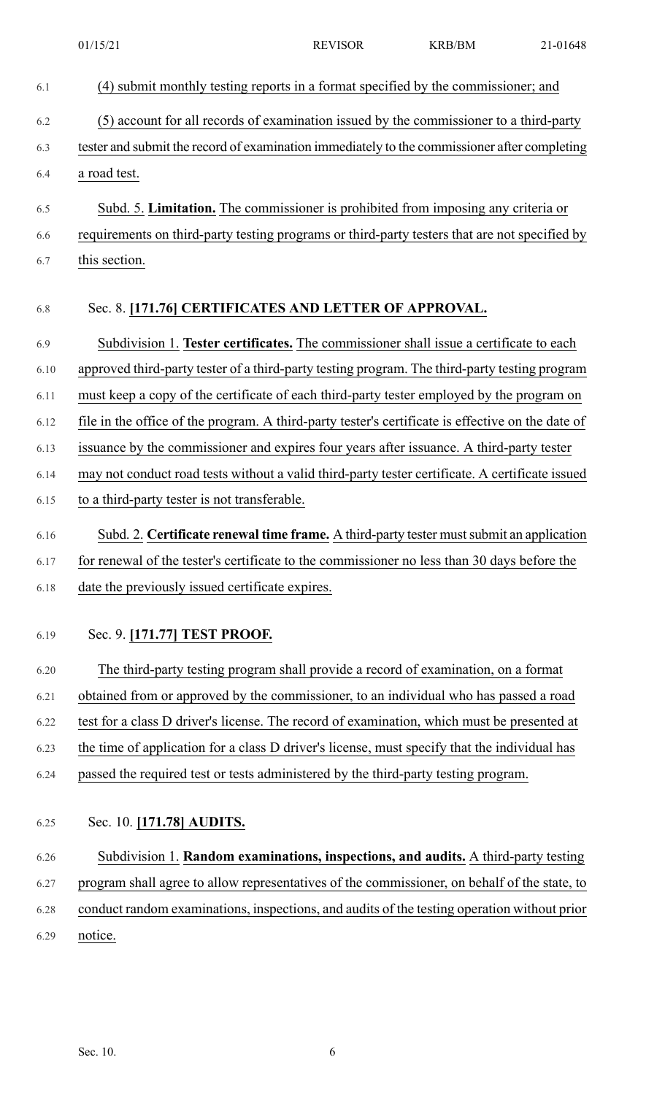| 6.1  | (4) submit monthly testing reports in a format specified by the commissioner; and                 |
|------|---------------------------------------------------------------------------------------------------|
| 6.2  | (5) account for all records of examination issued by the commissioner to a third-party            |
| 6.3  | tester and submit the record of examination immediately to the commissioner after completing      |
| 6.4  | a road test.                                                                                      |
| 6.5  | Subd. 5. Limitation. The commissioner is prohibited from imposing any criteria or                 |
| 6.6  | requirements on third-party testing programs or third-party testers that are not specified by     |
| 6.7  | this section.                                                                                     |
| 6.8  | Sec. 8. [171.76] CERTIFICATES AND LETTER OF APPROVAL.                                             |
| 6.9  | Subdivision 1. Tester certificates. The commissioner shall issue a certificate to each            |
| 6.10 | approved third-party tester of a third-party testing program. The third-party testing program     |
| 6.11 | must keep a copy of the certificate of each third-party tester employed by the program on         |
| 6.12 | file in the office of the program. A third-party tester's certificate is effective on the date of |
| 6.13 | issuance by the commissioner and expires four years after issuance. A third-party tester          |
| 6.14 | may not conduct road tests without a valid third-party tester certificate. A certificate issued   |
| 6.15 | to a third-party tester is not transferable.                                                      |
| 6.16 | Subd. 2. Certificate renewal time frame. A third-party tester must submit an application          |
| 6.17 | for renewal of the tester's certificate to the commissioner no less than 30 days before the       |
| 6.18 | date the previously issued certificate expires.                                                   |
| 6.19 | Sec. 9. [171.77] TEST PROOF.                                                                      |
| 6.20 | The third-party testing program shall provide a record of examination, on a format                |
| 6.21 | obtained from or approved by the commissioner, to an individual who has passed a road             |
| 6.22 | test for a class D driver's license. The record of examination, which must be presented at        |

- 6.23 the time of application for a class D driver's license, must specify that the individual has
- 6.24 passed the required test or tests administered by the third-party testing program.
- 6.25 Sec. 10. **[171.78] AUDITS.**
- 6.26 Subdivision 1. **Random examinations, inspections, and audits.** A third-party testing 6.27 program shall agree to allow representatives of the commissioner, on behalf of the state, to 6.28 conduct random examinations, inspections, and audits of the testing operation without prior 6.29 notice.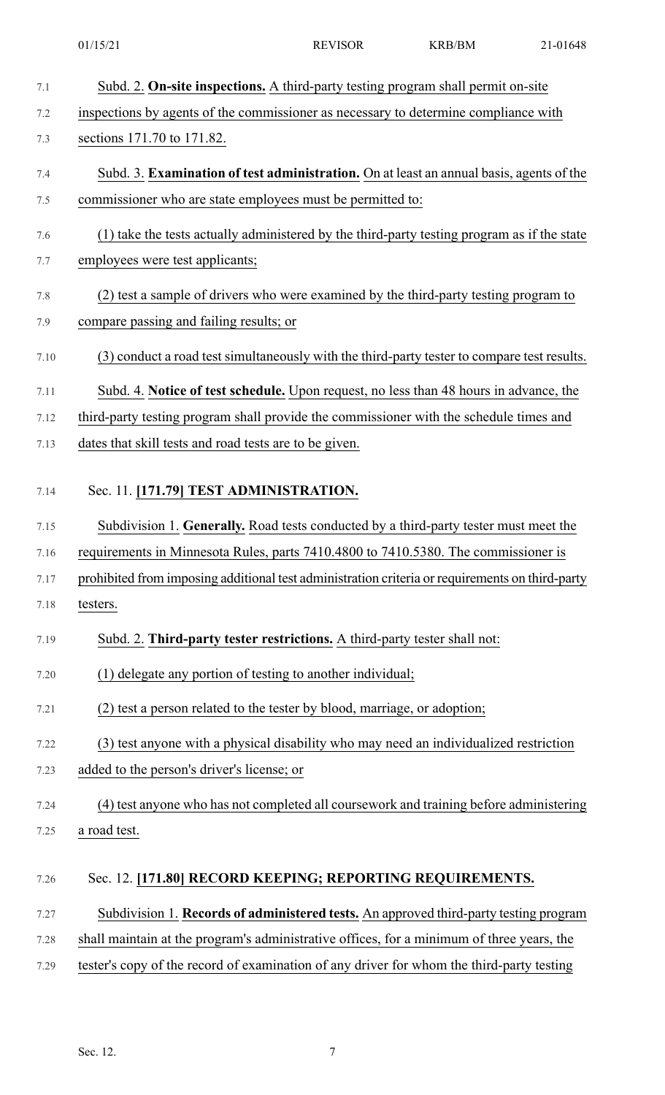| 7.1  | Subd. 2. On-site inspections. A third-party testing program shall permit on-site                |
|------|-------------------------------------------------------------------------------------------------|
| 7.2  | inspections by agents of the commissioner as necessary to determine compliance with             |
| 7.3  | sections 171.70 to 171.82.                                                                      |
| 7.4  | Subd. 3. Examination of test administration. On at least an annual basis, agents of the         |
| 7.5  | commissioner who are state employees must be permitted to:                                      |
| 7.6  | (1) take the tests actually administered by the third-party testing program as if the state     |
| 7.7  | employees were test applicants;                                                                 |
| 7.8  | (2) test a sample of drivers who were examined by the third-party testing program to            |
| 7.9  | compare passing and failing results; or                                                         |
| 7.10 | (3) conduct a road test simultaneously with the third-party tester to compare test results.     |
| 7.11 | Subd. 4. Notice of test schedule. Upon request, no less than 48 hours in advance, the           |
| 7.12 | third-party testing program shall provide the commissioner with the schedule times and          |
| 7.13 | dates that skill tests and road tests are to be given.                                          |
| 7.14 | Sec. 11. [171.79] TEST ADMINISTRATION.                                                          |
| 7.15 | Subdivision 1. Generally. Road tests conducted by a third-party tester must meet the            |
| 7.16 | requirements in Minnesota Rules, parts 7410.4800 to 7410.5380. The commissioner is              |
| 7.17 | prohibited from imposing additional test administration criteria or requirements on third-party |
| 7.18 | testers.                                                                                        |
| 7.19 | Subd. 2. Third-party tester restrictions. A third-party tester shall not:                       |
| 7.20 | (1) delegate any portion of testing to another individual;                                      |
| 7.21 | (2) test a person related to the tester by blood, marriage, or adoption;                        |
| 7.22 | (3) test anyone with a physical disability who may need an individualized restriction           |
| 7.23 | added to the person's driver's license; or                                                      |
| 7.24 | (4) test anyone who has not completed all coursework and training before administering          |
| 7.25 | a road test.                                                                                    |
| 7.26 | Sec. 12. [171.80] RECORD KEEPING; REPORTING REQUIREMENTS.                                       |
| 7.27 | Subdivision 1. Records of administered tests. An approved third-party testing program           |
| 7.28 | shall maintain at the program's administrative offices, for a minimum of three years, the       |
| 7.29 | tester's copy of the record of examination of any driver for whom the third-party testing       |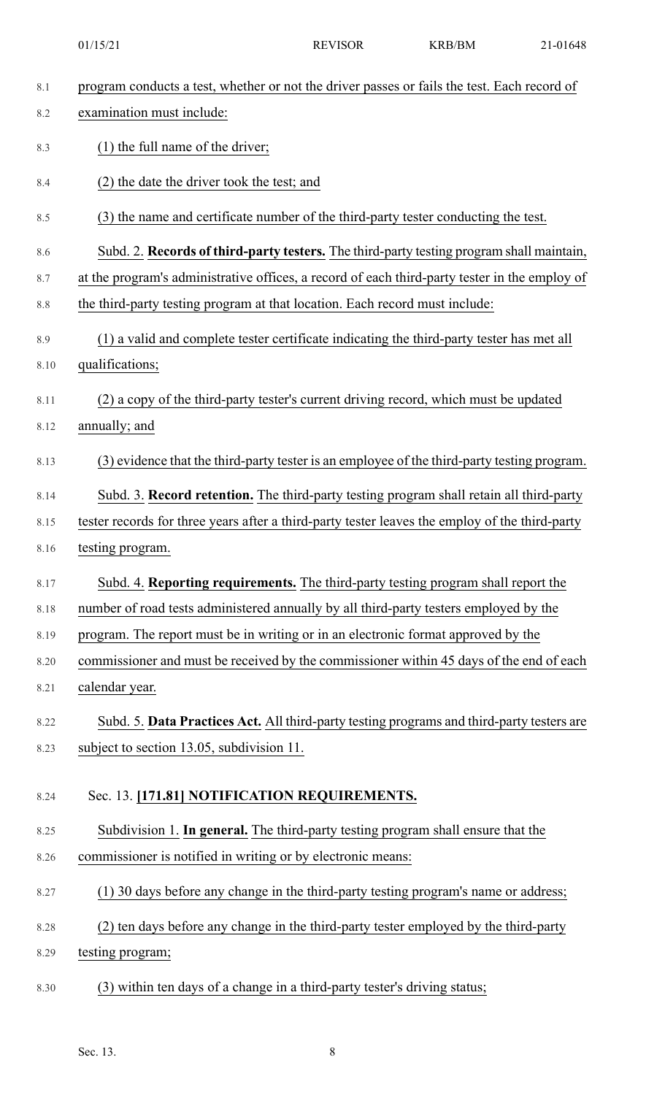|      | 01/15/21                                                                                       | <b>REVISOR</b> | <b>KRB/BM</b> | 21-01648 |
|------|------------------------------------------------------------------------------------------------|----------------|---------------|----------|
| 8.1  | program conducts a test, whether or not the driver passes or fails the test. Each record of    |                |               |          |
| 8.2  | examination must include:                                                                      |                |               |          |
| 8.3  | $(1)$ the full name of the driver;                                                             |                |               |          |
| 8.4  | (2) the date the driver took the test; and                                                     |                |               |          |
| 8.5  | (3) the name and certificate number of the third-party tester conducting the test.             |                |               |          |
| 8.6  | Subd. 2. Records of third-party testers. The third-party testing program shall maintain,       |                |               |          |
| 8.7  | at the program's administrative offices, a record of each third-party tester in the employ of  |                |               |          |
| 8.8  | the third-party testing program at that location. Each record must include:                    |                |               |          |
| 8.9  | (1) a valid and complete tester certificate indicating the third-party tester has met all      |                |               |          |
| 8.10 | qualifications;                                                                                |                |               |          |
| 8.11 | (2) a copy of the third-party tester's current driving record, which must be updated           |                |               |          |
| 8.12 | annually; and                                                                                  |                |               |          |
| 8.13 | (3) evidence that the third-party tester is an employee of the third-party testing program.    |                |               |          |
| 8.14 | Subd. 3. Record retention. The third-party testing program shall retain all third-party        |                |               |          |
| 8.15 | tester records for three years after a third-party tester leaves the employ of the third-party |                |               |          |
| 8.16 | testing program.                                                                               |                |               |          |
| 8.17 | Subd. 4. Reporting requirements. The third-party testing program shall report the              |                |               |          |
| 8.18 | number of road tests administered annually by all third-party testers employed by the          |                |               |          |
| 8.19 | program. The report must be in writing or in an electronic format approved by the              |                |               |          |
| 8.20 | commissioner and must be received by the commissioner within 45 days of the end of each        |                |               |          |
| 8.21 | calendar year.                                                                                 |                |               |          |
| 8.22 | Subd. 5. Data Practices Act. All third-party testing programs and third-party testers are      |                |               |          |
| 8.23 | subject to section 13.05, subdivision 11.                                                      |                |               |          |
| 8.24 | Sec. 13. [171.81] NOTIFICATION REQUIREMENTS.                                                   |                |               |          |
| 8.25 | Subdivision 1. In general. The third-party testing program shall ensure that the               |                |               |          |
| 8.26 | commissioner is notified in writing or by electronic means:                                    |                |               |          |
| 8.27 | (1) 30 days before any change in the third-party testing program's name or address;            |                |               |          |
| 8.28 | (2) ten days before any change in the third-party tester employed by the third-party           |                |               |          |
| 8.29 | testing program;                                                                               |                |               |          |
| 8.30 | (3) within ten days of a change in a third-party tester's driving status;                      |                |               |          |

Sec. 13. 8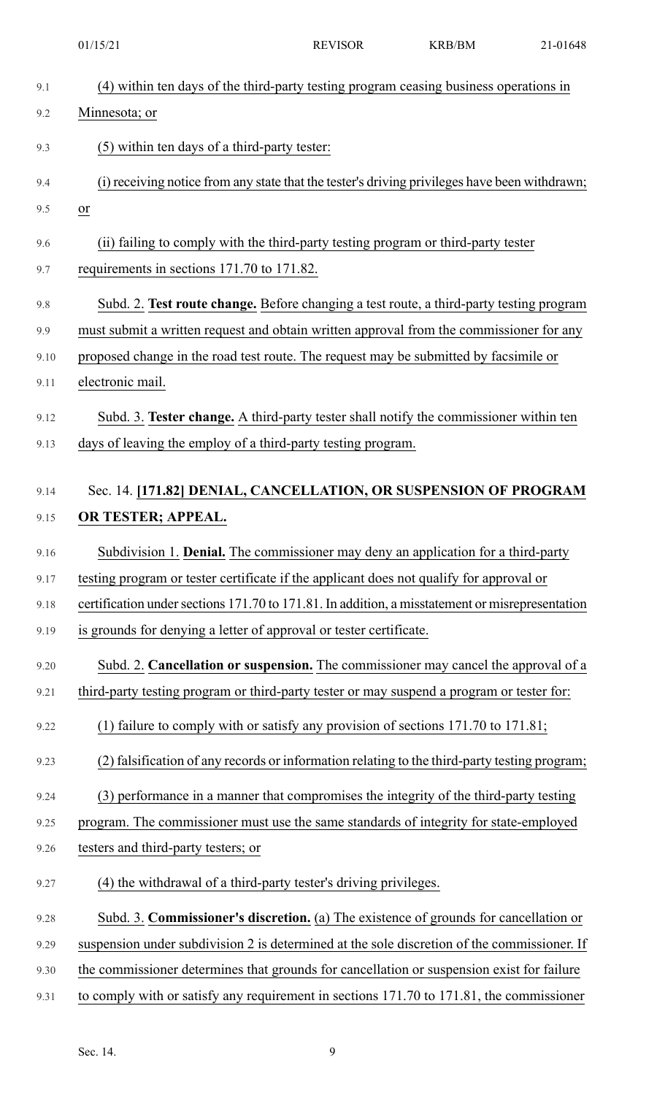|      | 01/15/21                                                                                        | <b>REVISOR</b> | <b>KRB/BM</b> | 21-01648 |
|------|-------------------------------------------------------------------------------------------------|----------------|---------------|----------|
| 9.1  | (4) within ten days of the third-party testing program ceasing business operations in           |                |               |          |
| 9.2  | Minnesota; or                                                                                   |                |               |          |
| 9.3  | (5) within ten days of a third-party tester:                                                    |                |               |          |
| 9.4  | (i) receiving notice from any state that the tester's driving privileges have been withdrawn;   |                |               |          |
| 9.5  | $\frac{or}{ }$                                                                                  |                |               |          |
| 9.6  | (ii) failing to comply with the third-party testing program or third-party tester               |                |               |          |
| 9.7  | requirements in sections 171.70 to 171.82.                                                      |                |               |          |
| 9.8  | Subd. 2. Test route change. Before changing a test route, a third-party testing program         |                |               |          |
| 9.9  | must submit a written request and obtain written approval from the commissioner for any         |                |               |          |
| 9.10 | proposed change in the road test route. The request may be submitted by facsimile or            |                |               |          |
| 9.11 | electronic mail.                                                                                |                |               |          |
| 9.12 | Subd. 3. Tester change. A third-party tester shall notify the commissioner within ten           |                |               |          |
| 9.13 | days of leaving the employ of a third-party testing program.                                    |                |               |          |
|      |                                                                                                 |                |               |          |
| 9.14 | Sec. 14. [171.82] DENIAL, CANCELLATION, OR SUSPENSION OF PROGRAM                                |                |               |          |
| 9.15 | OR TESTER; APPEAL.                                                                              |                |               |          |
| 9.16 | Subdivision 1. Denial. The commissioner may deny an application for a third-party               |                |               |          |
| 9.17 | testing program or tester certificate if the applicant does not qualify for approval or         |                |               |          |
| 9.18 | certification under sections 171.70 to 171.81. In addition, a misstatement or misrepresentation |                |               |          |
| 9.19 | is grounds for denying a letter of approval or tester certificate.                              |                |               |          |
| 9.20 | Subd. 2. Cancellation or suspension. The commissioner may cancel the approval of a              |                |               |          |
| 9.21 | third-party testing program or third-party tester or may suspend a program or tester for:       |                |               |          |
| 9.22 | (1) failure to comply with or satisfy any provision of sections $171.70$ to $171.81$ ;          |                |               |          |
| 9.23 | (2) falsification of any records or information relating to the third-party testing program;    |                |               |          |
| 9.24 | (3) performance in a manner that compromises the integrity of the third-party testing           |                |               |          |
| 9.25 | program. The commissioner must use the same standards of integrity for state-employed           |                |               |          |
| 9.26 | testers and third-party testers; or                                                             |                |               |          |
| 9.27 | (4) the withdrawal of a third-party tester's driving privileges.                                |                |               |          |
| 9.28 | Subd. 3. Commissioner's discretion. (a) The existence of grounds for cancellation or            |                |               |          |
| 9.29 | suspension under subdivision 2 is determined at the sole discretion of the commissioner. If     |                |               |          |
| 9.30 | the commissioner determines that grounds for cancellation or suspension exist for failure       |                |               |          |
| 9.31 | to comply with or satisfy any requirement in sections 171.70 to 171.81, the commissioner        |                |               |          |